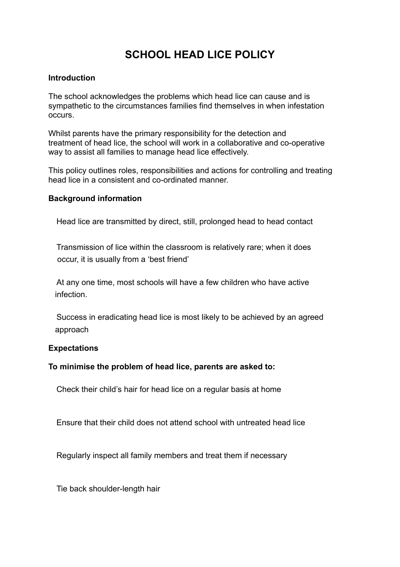# **SCHOOL HEAD LICE POLICY**

### **Introduction**

The school acknowledges the problems which head lice can cause and is sympathetic to the circumstances families find themselves in when infestation occurs.

Whilst parents have the primary responsibility for the detection and treatment of head lice, the school will work in a collaborative and co-operative way to assist all families to manage head lice effectively.

This policy outlines roles, responsibilities and actions for controlling and treating head lice in a consistent and co-ordinated manner.

# **Background information**

Head lice are transmitted by direct, still, prolonged head to head contact

Transmission of lice within the classroom is relatively rare; when it does occur, it is usually from a 'best friend'

At any one time, most schools will have a few children who have active infection.

Success in eradicating head lice is most likely to be achieved by an agreed approach

# **Expectations**

#### **To minimise the problem of head lice, parents are asked to:**

Check their child's hair for head lice on a regular basis at home

Ensure that their child does not attend school with untreated head lice

Regularly inspect all family members and treat them if necessary

Tie back shoulder-length hair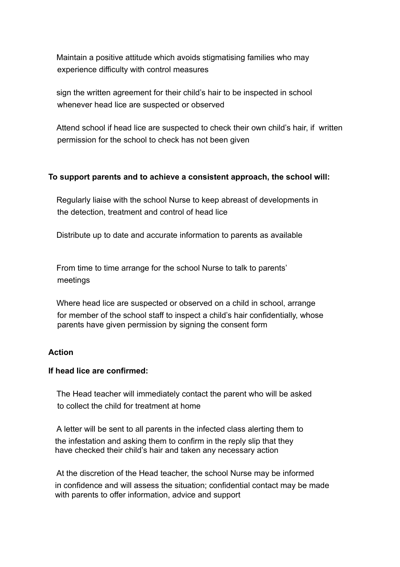Maintain a positive attitude which avoids stigmatising families who may experience difficulty with control measures

sign the written agreement for their child's hair to be inspected in school whenever head lice are suspected or observed

Attend school if head lice are suspected to check their own child's hair, if written permission for the school to check has not been given

# **To support parents and to achieve a consistent approach, the school will:**

Regularly liaise with the school Nurse to keep abreast of developments in the detection, treatment and control of head lice

Distribute up to date and accurate information to parents as available

From time to time arrange for the school Nurse to talk to parents' meetings

Where head lice are suspected or observed on a child in school, arrange for member of the school staff to inspect a child's hair confidentially, whose parents have given permission by signing the consent form

#### **Action**

#### **If head lice are confirmed:**

The Head teacher will immediately contact the parent who will be asked to collect the child for treatment at home

A letter will be sent to all parents in the infected class alerting them to the infestation and asking them to confirm in the reply slip that they have checked their child's hair and taken any necessary action

At the discretion of the Head teacher, the school Nurse may be informed in confidence and will assess the situation; confidential contact may be made with parents to offer information, advice and support